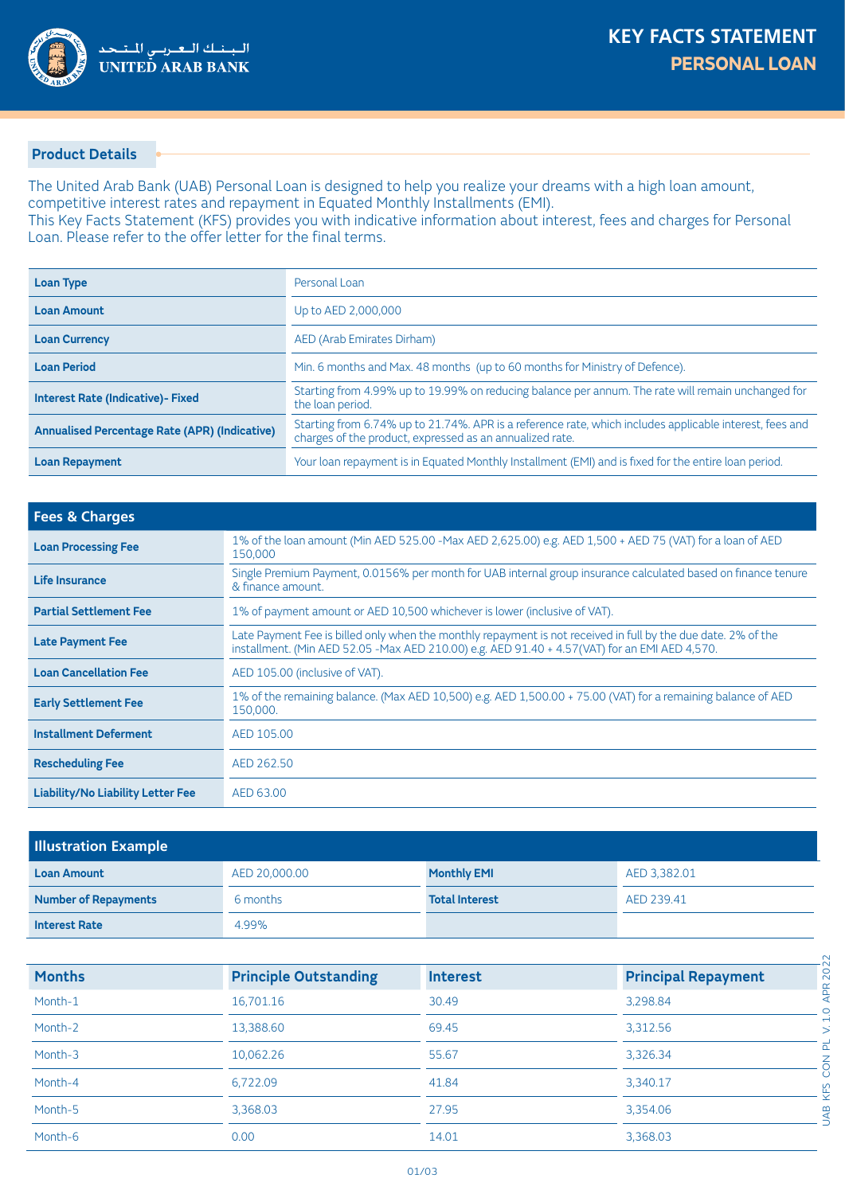

## **Product Details**

The United Arab Bank (UAB) Personal Loan is designed to help you realize your dreams with a high loan amount, competitive interest rates and repayment in Equated Monthly Installments (EMI). This Key Facts Statement (KFS) provides you with indicative information about interest, fees and charges for Personal Loan. Please refer to the offer letter for the final terms.

| <b>Loan Type</b>                                     | Personal Loan                                                                                                                                                       |
|------------------------------------------------------|---------------------------------------------------------------------------------------------------------------------------------------------------------------------|
| <b>Loan Amount</b>                                   | Up to AED 2,000,000                                                                                                                                                 |
| <b>Loan Currency</b>                                 | AED (Arab Emirates Dirham)                                                                                                                                          |
| <b>Loan Period</b>                                   | Min. 6 months and Max. 48 months (up to 60 months for Ministry of Defence).                                                                                         |
| <b>Interest Rate (Indicative)- Fixed</b>             | Starting from 4.99% up to 19.99% on reducing balance per annum. The rate will remain unchanged for<br>the loan period.                                              |
| <b>Annualised Percentage Rate (APR) (Indicative)</b> | Starting from 6.74% up to 21.74%. APR is a reference rate, which includes applicable interest, fees and<br>charges of the product, expressed as an annualized rate. |
| <b>Loan Repayment</b>                                | Your loan repayment is in Equated Monthly Installment (EMI) and is fixed for the entire loan period.                                                                |

| <b>Fees &amp; Charges</b>                |                                                                                                                                                                                                                  |
|------------------------------------------|------------------------------------------------------------------------------------------------------------------------------------------------------------------------------------------------------------------|
| <b>Loan Processing Fee</b>               | 1% of the loan amount (Min AED 525.00 - Max AED 2,625.00) e.g. AED 1,500 + AED 75 (VAT) for a loan of AED<br>150,000                                                                                             |
| <b>Life Insurance</b>                    | Single Premium Payment, 0.0156% per month for UAB internal group insurance calculated based on finance tenure<br>& finance amount.                                                                               |
| <b>Partial Settlement Fee</b>            | 1% of payment amount or AED 10,500 whichever is lower (inclusive of VAT).                                                                                                                                        |
| <b>Late Payment Fee</b>                  | Late Payment Fee is billed only when the monthly repayment is not received in full by the due date. 2% of the<br>installment. (Min AED 52.05 - Max AED 210.00) e.g. AED 91.40 + 4.57 (VAT) for an EMI AED 4,570. |
| <b>Loan Cancellation Fee</b>             | AED 105.00 (inclusive of VAT).                                                                                                                                                                                   |
| <b>Early Settlement Fee</b>              | 1% of the remaining balance. (Max AED 10,500) e.g. AED 1,500.00 + 75.00 (VAT) for a remaining balance of AED<br>150.000.                                                                                         |
| <b>Installment Deferment</b>             | AED 105.00                                                                                                                                                                                                       |
| <b>Rescheduling Fee</b>                  | AED 262.50                                                                                                                                                                                                       |
| <b>Liability/No Liability Letter Fee</b> | AED 63.00                                                                                                                                                                                                        |

| <b>Illustration Example</b> |               |                       |              |
|-----------------------------|---------------|-----------------------|--------------|
| <b>Loan Amount</b>          | AED 20,000.00 | <b>Monthly EMI</b>    | AED 3,382.01 |
| <b>Number of Repayments</b> | 6 months      | <b>Total Interest</b> | AED 239.41   |
| <b>Interest Rate</b>        | 4.99%         |                       |              |

| <b>Months</b> | <b>Principle Outstanding</b> | <b>Interest</b> | <b>Principal Repayment</b> |
|---------------|------------------------------|-----------------|----------------------------|
| Month-1       | 16,701.16                    | 30.49           | 3.298.84                   |
| Month-2       | 13,388.60                    | 69.45           | 3,312.56                   |
| Month-3       | 10,062.26                    | 55.67           | 3,326.34                   |
| Month-4       | 6.722.09                     | 41.84           | 3.340.17                   |
| Month-5       | 3,368.03                     | 27.95           | 3,354.06                   |
| Month-6       | 0.00                         | 14.01           | 3,368.03                   |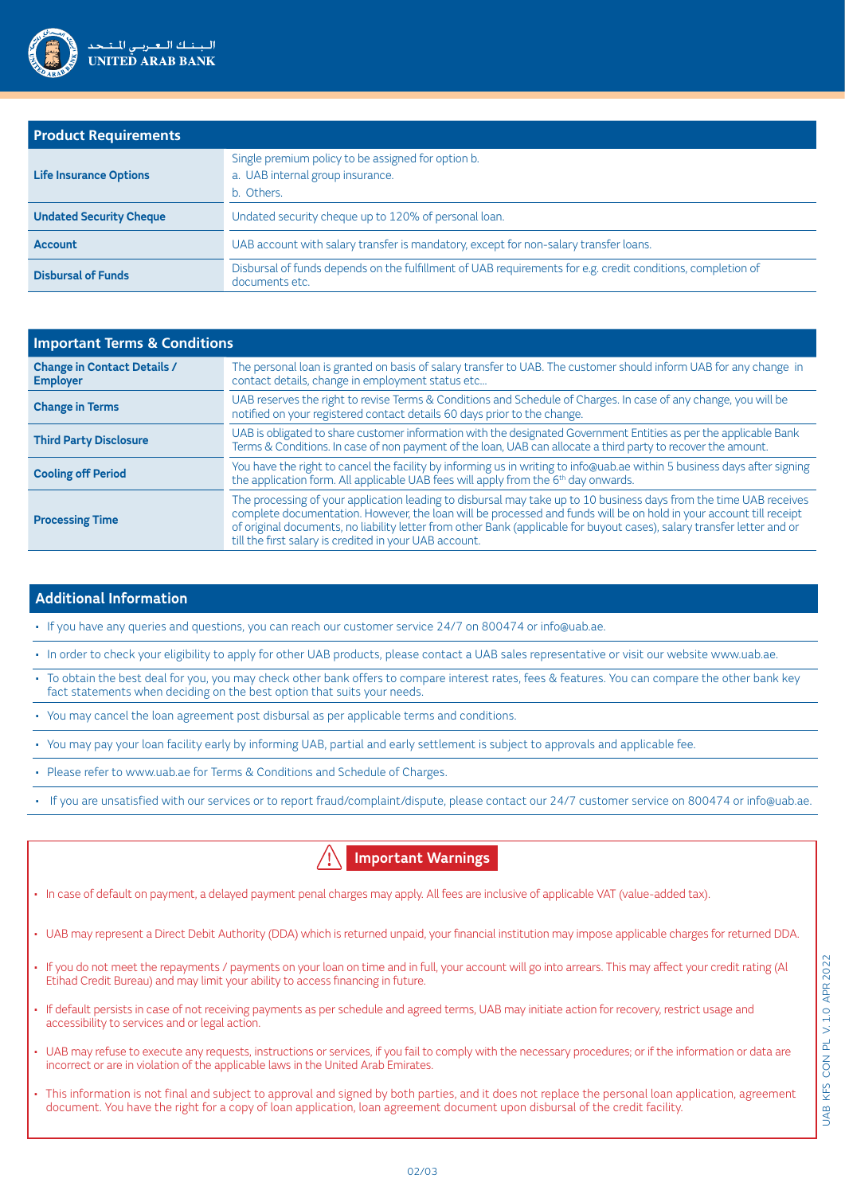

## **Product Requirements**

| <b>Life Insurance Options</b>  | Single premium policy to be assigned for option b.<br>a. UAB internal group insurance.<br>b. Others.                          |
|--------------------------------|-------------------------------------------------------------------------------------------------------------------------------|
| <b>Undated Security Cheque</b> | Undated security cheque up to 120% of personal loan.                                                                          |
| Account                        | UAB account with salary transfer is mandatory, except for non-salary transfer loans.                                          |
| <b>Disbursal of Funds</b>      | Disbursal of funds depends on the fulfillment of UAB requirements for e.g. credit conditions, completion of<br>documents etc. |

| <b>Important Terms &amp; Conditions</b>               |                                                                                                                                                                                                                                                                                                                                                                                                                               |
|-------------------------------------------------------|-------------------------------------------------------------------------------------------------------------------------------------------------------------------------------------------------------------------------------------------------------------------------------------------------------------------------------------------------------------------------------------------------------------------------------|
| <b>Change in Contact Details /</b><br><b>Employer</b> | The personal loan is granted on basis of salary transfer to UAB. The customer should inform UAB for any change in<br>contact details, change in employment status etc                                                                                                                                                                                                                                                         |
| <b>Change in Terms</b>                                | UAB reserves the right to revise Terms & Conditions and Schedule of Charges. In case of any change, you will be<br>notified on your registered contact details 60 days prior to the change.                                                                                                                                                                                                                                   |
| <b>Third Party Disclosure</b>                         | UAB is obligated to share customer information with the designated Government Entities as per the applicable Bank<br>Terms & Conditions. In case of non payment of the loan, UAB can allocate a third party to recover the amount.                                                                                                                                                                                            |
| <b>Cooling off Period</b>                             | You have the right to cancel the facility by informing us in writing to info@uab.ae within 5 business days after signing<br>the application form. All applicable UAB fees will apply from the 6 <sup>th</sup> day onwards.                                                                                                                                                                                                    |
| <b>Processing Time</b>                                | The processing of your application leading to disbursal may take up to 10 business days from the time UAB receives<br>complete documentation. However, the loan will be processed and funds will be on hold in your account till receipt<br>of original documents, no liability letter from other Bank (applicable for buyout cases), salary transfer letter and or<br>till the first salary is credited in your UAB account. |

## **Additional Information**

. If you have any queries and questions, you can reach our customer service 24/7 on 800474 or info@uab.ae.

. In order to check your eligibility to apply for other UAB products, please contact a UAB sales representative or visit our website www.uab.ae.

- To obtain the best deal for you, you may check other bank offers to compare interest rates, fees & features. You can compare the other bank key fact statements when deciding on the best option that suits your needs.
- . You may cancel the loan agreement post disbursal as per applicable terms and conditions.
- . You may pay your loan facility early by informing UAB, partial and early settlement is subject to approvals and applicable fee.
- . Please refer to www uab.ae for Terms & Conditions and Schedule of Charges.
- If you are unsatisfied with our services or to report fraud/complaint/dispute, please contact our 24/7 customer service on 800474 or info@uab.ae.



. In case of default on payment, a delayed payment penal charges may apply. All fees are inclusive of applicable VAT (value-added tax).

. UAB may represent a Direct Debit Authority (DDA) which is returned unpaid, your financial institution may impose applicable charges for returned DDA.

- If you do not meet the repayments / payments on your loan on time and in full, your account will go into arrears. This may affect your credit rating (Al Etihad Credit Bureau) and may limit your ability to access financing in future.
- If default persists in case of not receiving payments as per schedule and agreed terms, UAB may initiate action for recovery, restrict usage and accessibility to services and or legal action.
- UAB may refuse to execute any requests, instructions or services, if you fail to comply with the necessary procedures; or if the information or data are incorrect or are in violation of the applicable laws in the United Arab Emirates.
- This information is not final and subject to approval and signed by both parties, and it does not replace the personal loan application, agreement document. You have the right for a copy of loan application, loan agreement document upon disbursal of the credit facility.